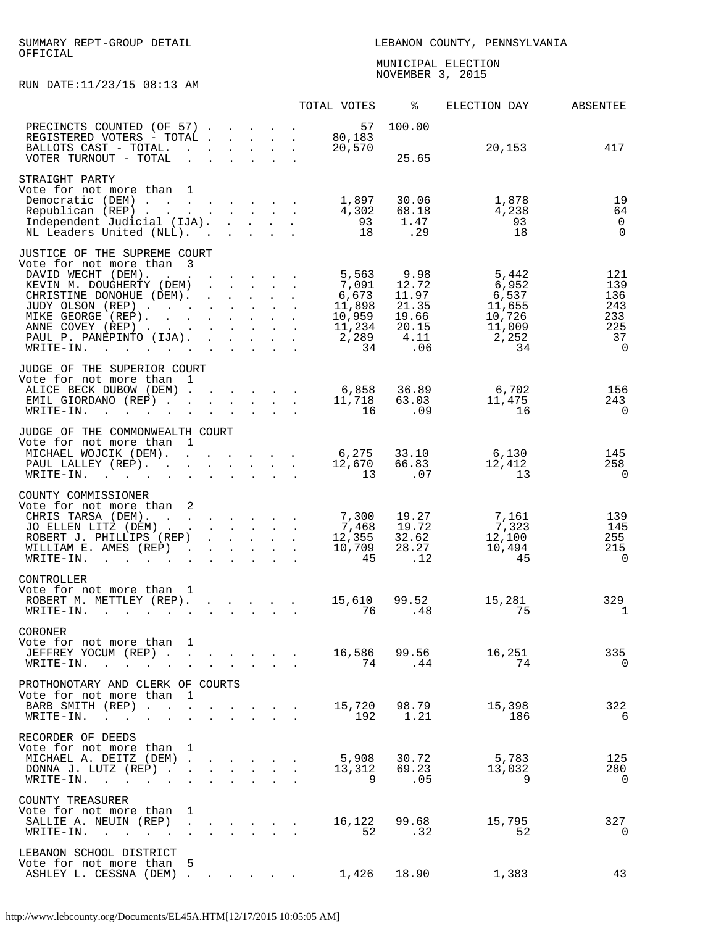## SUMMARY REPT-GROUP DETAIL LEBANON COUNTY, PENNSYLVANIA OFFICIAL

 MUNICIPAL ELECTION NOVEMBER 3, 2015 - 2016 - 2021 - 2022 - 2022 - 2032 - 2033 - 2034 - 2034 - 2034 - 2034 - 2034 - 2034 - 2034 - 20

RUN DATE:11/23/15 08:13 AM

|                                                                                                                                                                                                                                                                                                                                                                                     |                                                                                                          |                                                                                                                                                                                                                                   |                      |                                                                                                                                                                 |        | TOTAL VOTES                                                          | ႜ                                                                | ELECTION DAY                                                         | ABSENTEE                                                       |
|-------------------------------------------------------------------------------------------------------------------------------------------------------------------------------------------------------------------------------------------------------------------------------------------------------------------------------------------------------------------------------------|----------------------------------------------------------------------------------------------------------|-----------------------------------------------------------------------------------------------------------------------------------------------------------------------------------------------------------------------------------|----------------------|-----------------------------------------------------------------------------------------------------------------------------------------------------------------|--------|----------------------------------------------------------------------|------------------------------------------------------------------|----------------------------------------------------------------------|----------------------------------------------------------------|
| PRECINCTS COUNTED (OF 57).<br>REGISTERED VOTERS - TOTAL .<br>BALLOTS CAST - TOTAL.<br>VOTER TURNOUT - TOTAL                                                                                                                                                                                                                                                                         | $\mathbf{L} = \mathbf{L} \mathbf{L}$<br>$\mathbf{L}$<br>$\mathbf{L}$                                     | $\mathbf{r}$ . The contract of the contract of the contract of the contract of the contract of the contract of the contract of the contract of the contract of the contract of the contract of the contract of the contract of th |                      | $\mathbf{r} = \mathbf{r} + \mathbf{r}$<br>$\mathbf{1}^{\prime}$ , $\mathbf{1}^{\prime}$ , $\mathbf{1}^{\prime}$ , $\mathbf{1}^{\prime}$ , $\mathbf{1}^{\prime}$ | $\sim$ | 57<br>80,183<br>20,570                                               | 100.00<br>25.65                                                  | 20,153                                                               | 417                                                            |
| STRAIGHT PARTY<br>Vote for not more than<br>Democratic (DEM)<br>Republican (REP) 4,302<br>Independent Judicial (IJA).<br>NL Leaders United (NLL).                                                                                                                                                                                                                                   | 1                                                                                                        |                                                                                                                                                                                                                                   |                      |                                                                                                                                                                 |        | 1,897<br>93<br>18                                                    | 30.06<br>68.18<br>1.47<br>.29                                    | 1,878<br>4,238<br>93<br>18                                           | 19<br>64<br>$\overline{0}$<br>$\Omega$                         |
| JUSTICE OF THE SUPREME COURT<br>Vote for not more than 3<br>DAVID WECHT (DEM).<br>$\mathcal{A}$ . The set of the set of the set of the set of the $\mathcal{A}$<br>KEVIN M. DOUGHERTY (DEM)<br>CHRISTINE DONOHUE (DEM).<br>JUDY OLSON (REP)<br>MIKE GEORGE (REP).<br>ANNE COVEY (REP)<br>PAUL P. PANEPINTO (IJA).<br>WRITE-IN.<br>$\mathbf{r}$ . The set of the set of $\mathbf{r}$ | $\sim$ $\sim$                                                                                            | $\mathbf{r} = \mathbf{r} + \mathbf{r} + \mathbf{r} + \mathbf{r}$                                                                                                                                                                  |                      | $\mathbf{r} = \mathbf{r} \cdot \mathbf{r}$<br>$\mathbf{r} = \mathbf{r} \cdot \mathbf{r}$                                                                        |        | 5,563<br>7,091<br>6,673<br>11,898<br>10,959<br>11,234<br>2,289<br>34 | 9.98<br>12.72<br>11.97<br>21.35<br>19.66<br>20.15<br>4.11<br>.06 | 5,442<br>6,952<br>6,537<br>11,655<br>10,726<br>11,009<br>2,252<br>34 | 121<br>139<br>136<br>243<br>233<br>225<br>37<br>$\overline{0}$ |
| JUDGE OF THE SUPERIOR COURT<br>Vote for not more than<br>ALICE BECK DUBOW (DEM)<br>EMIL GIORDANO (REP)<br>WRITE-IN.<br>$\sim$ $\sim$                                                                                                                                                                                                                                                | 1                                                                                                        |                                                                                                                                                                                                                                   |                      |                                                                                                                                                                 |        | 6,858<br>11,718<br>16                                                | 36.89<br>63.03<br>.09                                            | 6,702<br>11,475<br>16                                                | 156<br>243<br>$\mathbf 0$                                      |
| JUDGE OF THE COMMONWEALTH COURT<br>Vote for not more than<br>MICHAEL WOJCIK (DEM). 6,275<br>PAUL LALLEY (REP). 12,670<br>$WRITE-IN.$                                                                                                                                                                                                                                                | 1<br>$\sim$ $\sim$<br>$\mathbf{L}$                                                                       |                                                                                                                                                                                                                                   |                      | $\mathbf{r} = \mathbf{r} \cdot \mathbf{r}$                                                                                                                      |        | 13                                                                   | 33.10<br>66.83<br>.07                                            | $6,130$<br>$12,412$<br>13                                            | 145<br>258<br>0                                                |
| COUNTY COMMISSIONER<br>Vote for not more than<br>CHRIS TARSA (DEM).<br>JO ELLEN LITZ (DEM).<br>ROBERT J. PHILLIPS (REP)<br>WILLIAM E. AMES (REP)<br>WRITE-IN.                                                                                                                                                                                                                       | 2<br>$\sim 100$ km s $^{-1}$<br>$\mathbf{r}$ , $\mathbf{r}$ , $\mathbf{r}$ , $\mathbf{r}$ , $\mathbf{r}$ |                                                                                                                                                                                                                                   |                      |                                                                                                                                                                 |        | 7,300<br>7,468<br>12,355<br>10,709<br>45                             | 19.27<br>19.72<br>32.62<br>28.27<br>.12                          | 7,161<br>7,323<br>12,100<br>10,494<br>45                             | 139<br>145<br>255<br>215<br>0                                  |
| CONTROLLER<br>Vote for not more than<br>ROBERT M. METTLEY (REP). 15,610<br>WRITE-IN.<br>$\mathbf{L}$<br>$\mathbf{r} = \mathbf{r} \cdot \mathbf{r}$ , where $\mathbf{r} = \mathbf{r} \cdot \mathbf{r}$                                                                                                                                                                               | 1                                                                                                        | and a strong control of the state of                                                                                                                                                                                              |                      |                                                                                                                                                                 |        | 76                                                                   | 99.52<br>.48                                                     | 15,281<br>75                                                         | 329<br>1                                                       |
| CORONER<br>Vote for not more than<br>JEFFREY YOCUM (REP).<br>$\sim$<br>WRITE-IN.<br>$\sim$ $\sim$                                                                                                                                                                                                                                                                                   | 1                                                                                                        | $\mathbf{z} = \mathbf{z} + \mathbf{z}$ .                                                                                                                                                                                          | $\ddot{\phantom{a}}$ | $\sim$ $\sim$                                                                                                                                                   |        | 16,586 99.56                                                         | 74.44                                                            | 16,251<br>74                                                         | 335<br>$\overline{0}$                                          |
| PROTHONOTARY AND CLERK OF COURTS<br>Vote for not more than<br>BARB SMITH (REP)<br>WRITE-IN.<br><b>Contract Contract Contract</b><br>$\bullet$<br>$\bullet$                                                                                                                                                                                                                          | 1<br>$\mathbf{r}$                                                                                        |                                                                                                                                                                                                                                   |                      |                                                                                                                                                                 |        |                                                                      | 15,720 98.79<br>192 1.21                                         | 15,398<br>186                                                        | 322<br>6                                                       |
| RECORDER OF DEEDS<br>Vote for not more than<br>MICHAEL A. DEITZ (DEM).<br>DONNA J. LUTZ (REP).<br>WRITE-IN.<br>$\sim$<br>$\ddot{\phantom{a}}$<br>$\bullet$                                                                                                                                                                                                                          | 1<br>$\sim 10^{-10}$<br>$\ddot{\phantom{a}}$<br>$\ddot{\phantom{a}}$                                     |                                                                                                                                                                                                                                   |                      | <b>All Carried Control</b>                                                                                                                                      |        | 5,908                                                                | 30.72<br>13,312 69.23<br>9.05                                    | $\frac{5,783}{13,022}$<br>9                                          | 125<br>280<br>$\overline{0}$                                   |
| COUNTY TREASURER<br>Vote for not more than<br>SALLIE A. NEUIN (REP)<br>WRITE-IN. .                                                                                                                                                                                                                                                                                                  | 1<br>$\ddot{\phantom{a}}$<br>$\ddot{\phantom{a}}$                                                        | $\sim$ 100 $\pm$                                                                                                                                                                                                                  | $\ddot{\phantom{a}}$ |                                                                                                                                                                 |        | 52                                                                   | 16,122 99.68<br>.32                                              | 15,795<br>52                                                         | 327<br>0                                                       |
| LEBANON SCHOOL DISTRICT<br>Vote for not more than<br>ASHLEY L. CESSNA (DEM).                                                                                                                                                                                                                                                                                                        | 5                                                                                                        |                                                                                                                                                                                                                                   |                      |                                                                                                                                                                 |        | 1,426                                                                | 18.90                                                            | 1,383                                                                | 43                                                             |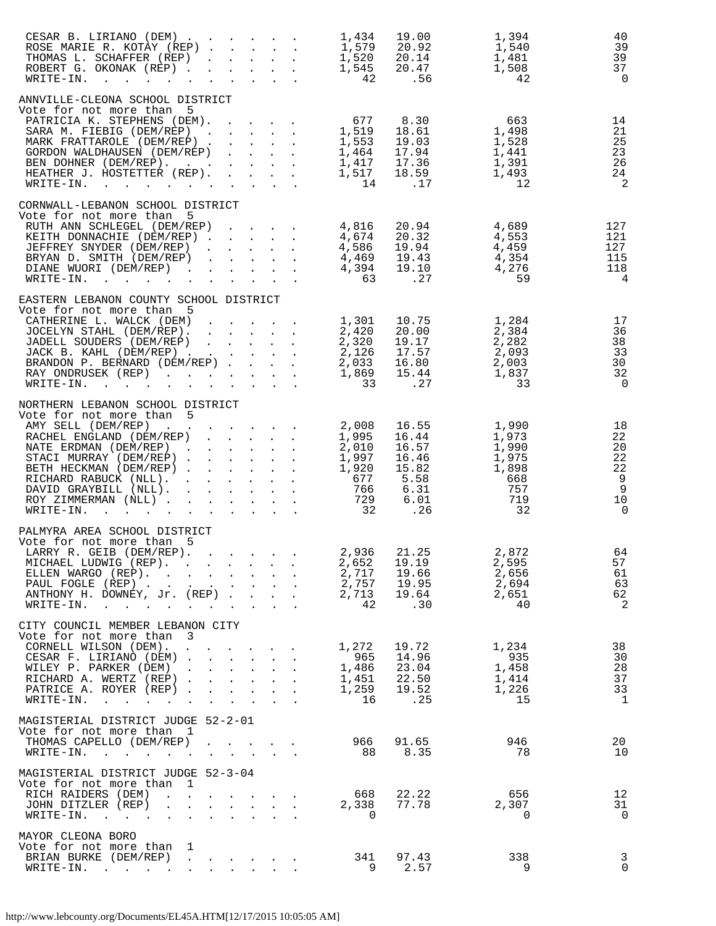| CESAR B. LIRIANO (DEM)<br>ROSE MARIE R. KOTAY (REP).<br>THOMAS L. SCHAFFER (REP)<br>ROBERT G. OKONAK (REP)<br>$\texttt{WRTTE-IN.}$                                                                                                                                                                                         | $\mathbf{r}$ and $\mathbf{r}$ and $\mathbf{r}$<br>$\mathbf{L}^{\text{max}}$ , and $\mathbf{L}^{\text{max}}$                                                                  | 1,434 19.00<br>1,579 20.92<br>1,520 20.14<br>1,545 20.47<br>42 .56                             | 1,394<br>9⊀ر ⊥<br>1,540<br>1,481<br>1,508<br>42                                                                                                                                                                       | 40<br>39<br>39<br>37<br>$\Omega$                       |
|----------------------------------------------------------------------------------------------------------------------------------------------------------------------------------------------------------------------------------------------------------------------------------------------------------------------------|------------------------------------------------------------------------------------------------------------------------------------------------------------------------------|------------------------------------------------------------------------------------------------|-----------------------------------------------------------------------------------------------------------------------------------------------------------------------------------------------------------------------|--------------------------------------------------------|
| ANNVILLE-CLEONA SCHOOL DISTRICT<br>Vote for not more than 5<br>PATRICIA K. STEPHENS (DEM). 677 8.30 663<br>SARA M. FIEBIG (DEM/REP) 1,519 18.61 1,498<br>MARK FRATTAROLE (DEM/REP) 1,553 19.03 1,528<br>GORDON WALDHAUSEN (DEM/REP) 1,464 17.94 1,441<br>BEN DOHNER (DEM/REP).<br>HEATHER J. HOSTETTER (REP).<br>WRITE-IN. |                                                                                                                                                                              | $1,417$ $17.36$<br>$1,517$ $18.59$<br>14                                                       | 1,391<br>1,493<br>.17<br>12                                                                                                                                                                                           | 14<br>21<br>25<br>23<br>26<br>24<br>$\overline{2}$     |
| CORNWALL-LEBANON SCHOOL DISTRICT<br>Vote for not more than 5<br>RUTH ANN SCHLEGEL (DEM/REP)<br>KEITH DONNACHIE (DEM/REP)<br>JEFFREY SNYDER (DEM/REP)<br>BRYAN D. SMITH (DEM/REP)<br>DIANE WUORI (DEM/REP)<br>WRITE-IN.                                                                                                     | <b><i>Contract Contract Contract</i></b>                                                                                                                                     | 4,816 20.94<br>4,674 20.32<br>4,586 19.94<br>4,469 19.43<br>4,394 19.10<br>63                  | 4,689<br>$\begin{array}{cc} 20.54 & 4,089 \\ 20.32 & 4,553 \\ 19.94 & 4,459 \\ 19.43 & 4,354 \\ 19.10 & 4,276 \\ 27 & 4,276 \end{array}$<br>.27<br>59                                                                 | 127<br>121<br>127<br>115<br>118<br>$\overline{4}$      |
| EASTERN LEBANON COUNTY SCHOOL DISTRICT<br>Vote for not more than 5<br>Vote for not more than 5<br>CATHERINE L. WALCK (DEM) 1,301 10.75 1,284<br>JOCELYN STAHL (DEM/REP) 2,420 20.00 2,384<br>JADELL SOUDERS (DEM/REP) 2,320 19.17 2,282<br>JACK B. KAHL (DEM/REP)<br>RAY ONDRUSEK (REP)<br>WRITE-IN.                       |                                                                                                                                                                              | $2,126$<br>$2,033$<br>$1,869$<br>$33$<br>33                                                    | 15.44<br>1,837<br>.27<br>33                                                                                                                                                                                           | 17<br>36<br>38<br>33<br>30<br>32<br>$\bigcirc$         |
| NORTHERN LEBANON SCHOOL DISTRICT<br>Vote for not more than 5<br>AMY SELL (DEM/REP)<br>AMY SELL (DEM/REP)<br>RACHEL ENGLAND (DEM/REP)<br>NATE ERDMAN (DEM/REP)<br>STACI MURRAY (DEM/REP)<br>BETH HECKMAN (DEM/REP)<br>RICHARD RABUCK (NLL).<br>DAVID GRAYBILL (NLL).<br>ROY ZIMMERMAN (NLL)<br>WRITE-IN.                    | $\cdot$ 2,008<br>$\mathbf{L}^{\text{max}}$<br>$\mathbf{r}$ , and $\mathbf{r}$ , and $\mathbf{r}$ , and $\mathbf{r}$                                                          | 1,995<br>2,010<br>1,997<br>1,920<br>$677$<br>$766$<br>$\begin{array}{c} 729 \\ 32 \end{array}$ | 16.55<br>16.44<br>16.57<br>1,990<br>1,973<br>1,990<br>$16.46$<br>$15.82$<br>$5.58$<br>$6.31$<br>$6.01$<br>$26$<br>1,975<br>1,898<br>668<br>757<br>$\begin{array}{c} 6.01 \\ .26 \end{array}$<br>719<br>$\frac{1}{32}$ | 18<br>22<br>20<br>22<br>22<br>9<br>9<br>10<br>$\Omega$ |
| PALMYRA AREA SCHOOL DISTRICT<br>Vote for not more than 5<br>LARRY R. GEIB (DEM/REP). .<br>MICHAEL LUDWIG (REP).<br>ELLEN WARGO (REP).<br>PAUL FOGLE (REP).<br>ANTHONY H. DOWNEY, Jr. (REP)<br>WRITE-IN.                                                                                                                    | $\mathbf{r}$ , and $\mathbf{r}$ , and $\mathbf{r}$ , and $\mathbf{r}$                                                                                                        | 2,936<br>2,652<br>2,717<br>2,757<br>2,713<br>42                                                | 21.25<br>2,872<br>19.19<br>2,595<br>19.66<br>2,656<br>19.95<br>2,694<br>19.64<br>2,651<br>.30<br>40                                                                                                                   | 64<br>57<br>61<br>63<br>62<br>2                        |
| CITY COUNCIL MEMBER LEBANON CITY<br>Vote for not more than 3<br>CORNELL WILSON (DEM).<br>CESAR F. LIRIANO (DEM)<br>WILEY P. PARKER (DEM)<br>RICHARD A. WERTZ (REP)<br>PATRICE A. ROYER (REP)<br>WRITE-IN.                                                                                                                  | $\mathbf{r}$ , $\mathbf{r}$ , $\mathbf{r}$ , $\mathbf{r}$ , $\mathbf{r}$ , $\mathbf{r}$<br>$\mathbf{L} = \mathbf{L} \mathbf{L}$<br>$\mathbf{L}$<br>$\mathbf{L} = \mathbf{L}$ | 1,272<br>965<br>1,486<br>1,451<br>1,259<br>1,259<br>16                                         | 1,234<br>19.72<br>14.96<br>935<br>1,458<br>23.04<br>22.50<br>1,414<br>19.52<br>1,226<br>.25<br>15                                                                                                                     | 38<br>30<br>28<br>37<br>33<br>$\mathbf{1}$             |
| MAGISTERIAL DISTRICT JUDGE 52-2-01<br>Vote for not more than 1<br>THOMAS CAPELLO (DEM/REP)<br>$\texttt{WRTTE-IN.}$                                                                                                                                                                                                         | $\sim$ 100 $\pm$<br>$\sim 10^{-10}$<br>$\ddot{\phantom{a}}$<br>$\sim 10^{-10}$<br>$\sim$ 100 $\pm$<br>$\mathbf{L}^{\text{max}}$                                              | 966<br>88                                                                                      | 91.65<br>946<br>8.35<br>- 78                                                                                                                                                                                          | 20<br>10                                               |
| MAGISTERIAL DISTRICT JUDGE 52-3-04<br>Vote for not more than<br>$\mathbf{1}$<br>RICH RAIDERS (DEM)<br>JOHN DITZLER (REP)<br>WRITE-IN.                                                                                                                                                                                      | and the contract of the contract of<br>$\mathbf{r} = \mathbf{r} + \mathbf{r} + \mathbf{r} + \mathbf{r}$                                                                      | 668<br>2,338<br>$\overline{0}$                                                                 | 22.22<br>656<br>77.78<br>2,307<br>$\overline{0}$                                                                                                                                                                      | 12<br>31<br>$\overline{0}$                             |
| MAYOR CLEONA BORO<br>Vote for not more than 1<br>BRIAN BURKE (DEM/REP)<br>$\texttt{WRTTE-IN.}$                                                                                                                                                                                                                             | $\mathbf{L} = \mathbf{L}$<br>$\mathbf{r}$ $\mathbf{r}$                                                                                                                       | 341<br>9                                                                                       | 97.43<br>338<br>2.57                                                                                                                                                                                                  | $\mathbf{3}$<br>9<br>0                                 |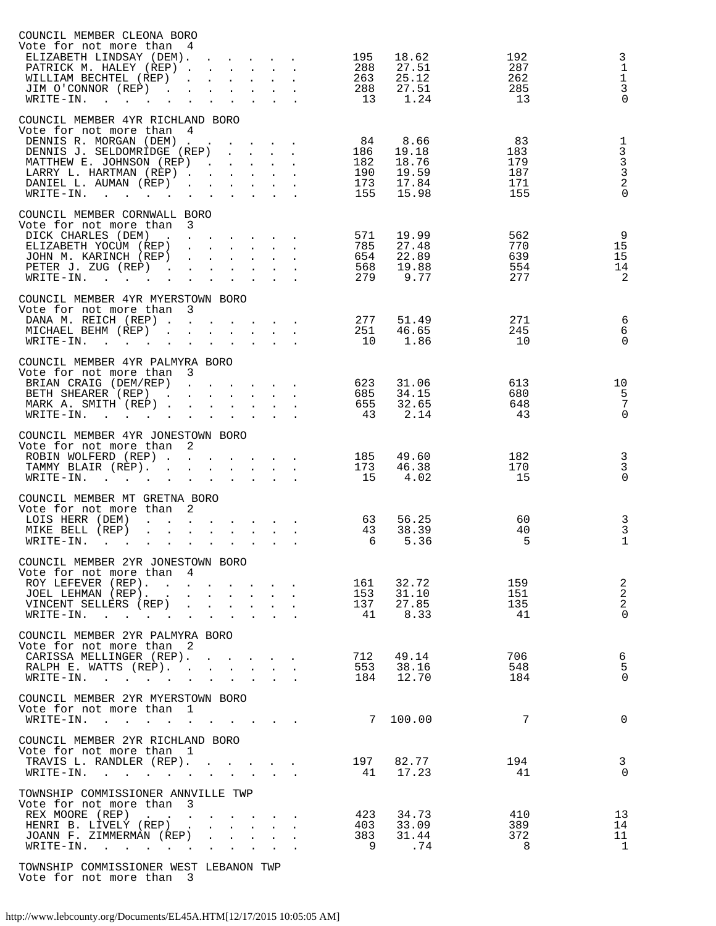| COUNCIL MEMBER CLEONA BORO                                                                                                                                                                                                                           |                                                                                                                                                                            |                                                                                                         |                                                           |                   |                |            |                                                   |
|------------------------------------------------------------------------------------------------------------------------------------------------------------------------------------------------------------------------------------------------------|----------------------------------------------------------------------------------------------------------------------------------------------------------------------------|---------------------------------------------------------------------------------------------------------|-----------------------------------------------------------|-------------------|----------------|------------|---------------------------------------------------|
| Vote for not more than<br>4<br>ELIZABETH LINDSAY (DEM).                                                                                                                                                                                              | $\mathbf{r} = \mathbf{r} + \mathbf{r} + \mathbf{r}$                                                                                                                        |                                                                                                         |                                                           | 195               | 18.62          | 192        | 3                                                 |
| PATRICK M. HALEY (REP).                                                                                                                                                                                                                              | $\mathbf{r} = \mathbf{r} \times \mathbf{r}$ , where $\mathbf{r} = \mathbf{r} \times \mathbf{r}$                                                                            |                                                                                                         |                                                           | 288               | 27.51          | 287        | $1\,$                                             |
| WILLIAM BECHTEL (REP)<br>$\mathbf{r}$                                                                                                                                                                                                                | $\mathbf{r} = \mathbf{r} \cdot \mathbf{r}$ and $\mathbf{r} = \mathbf{r} \cdot \mathbf{r}$                                                                                  |                                                                                                         |                                                           | 263               | 25.12          | 262        | $\mathbf 1$                                       |
| JIM O'CONNOR (REP)<br>$\bullet$                                                                                                                                                                                                                      | $\mathbf{z} = \mathbf{z} + \mathbf{z}$ , where $\mathbf{z} = \mathbf{z} + \mathbf{z}$                                                                                      |                                                                                                         |                                                           | 288               | 27.51          | 285        | $\mathbf{3}$                                      |
| $WRITE-IN.$<br>$\mathbf{A}$                                                                                                                                                                                                                          |                                                                                                                                                                            | $\mathbf{r}$ $\mathbf{r}$ $\mathbf{r}$                                                                  |                                                           | 13                | 1.24           | 13         | $\Omega$                                          |
| COUNCIL MEMBER 4YR RICHLAND BORO                                                                                                                                                                                                                     |                                                                                                                                                                            |                                                                                                         |                                                           |                   |                |            |                                                   |
| Vote for not more than<br>4                                                                                                                                                                                                                          |                                                                                                                                                                            |                                                                                                         |                                                           |                   |                |            |                                                   |
| DENNIS R. MORGAN (DEM).                                                                                                                                                                                                                              |                                                                                                                                                                            |                                                                                                         |                                                           | 84                | 8.66           | 83         |                                                   |
| DENNIS J. SELDOMRIDGE (REP)                                                                                                                                                                                                                          |                                                                                                                                                                            | $\mathcal{L}^{\text{max}}(\mathcal{L}^{\text{max}}(\mathcal{L}^{\text{max}}(\mathcal{L}^{\text{max}}))$ |                                                           | 186               | 19.18<br>18.76 | 183        |                                                   |
| MATTHEW E. JOHNSON (REP)<br>LARRY L. HARTMAN (REP).                                                                                                                                                                                                  | <b>Contractor</b><br>$\mathbf{1}^{\prime}$ , $\mathbf{1}^{\prime}$ , $\mathbf{1}^{\prime}$ , $\mathbf{1}^{\prime}$ , $\mathbf{1}^{\prime}$ , $\mathbf{1}^{\prime}$ ,       | $\mathbf{r} = \mathbf{r} + \mathbf{r} + \mathbf{r}$                                                     |                                                           | 182<br>190        | 19.59          | 179<br>187 |                                                   |
| DANIEL L. AUMAN (REP)<br>$\sim$                                                                                                                                                                                                                      | $\mathbf{L} = \mathbf{L} \mathbf{L}$                                                                                                                                       | $\mathbf{L}^{\text{max}}$                                                                               | $\mathbf{L} = \mathbf{L}$                                 | 173               | 17.84          | 171        | $\begin{array}{c}\n1 \\ 3 \\ 3 \\ 2\n\end{array}$ |
| WRITE-IN.<br>$\bullet$                                                                                                                                                                                                                               | $\mathbf{r}$<br>$\ddot{\phantom{a}}$                                                                                                                                       | $\mathbf{L}^{\text{max}}$                                                                               | $\mathbf{L}$                                              | 155               | 15.98          | 155        | $\Omega$                                          |
| COUNCIL MEMBER CORNWALL BORO                                                                                                                                                                                                                         |                                                                                                                                                                            |                                                                                                         |                                                           |                   |                |            |                                                   |
| $\overline{\mathbf{3}}$<br>Vote for not more than                                                                                                                                                                                                    |                                                                                                                                                                            |                                                                                                         |                                                           |                   |                |            |                                                   |
| DICK CHARLES (DEM)<br>$\sim$ $\sim$                                                                                                                                                                                                                  | and the contract of the contract of                                                                                                                                        |                                                                                                         |                                                           | 571<br>785        | 19.99          | 562        | 9                                                 |
| ELIZABETH YOCUM (REP)<br>$\sim 100$ km s $^{-1}$                                                                                                                                                                                                     | $\mathbf{r} = \mathbf{r} \cdot \mathbf{r} = \mathbf{r} \cdot \mathbf{r}$                                                                                                   |                                                                                                         |                                                           |                   | 27.48          | 770        | 15                                                |
| JOHN M. KARINCH (REP)<br>PETER J. ZUG (REP)<br>$\sim 100$<br>$\mathbf{L}^{\text{max}}$                                                                                                                                                               | $\mathbf{1}^{\prime}$ , $\mathbf{1}^{\prime}$ , $\mathbf{1}^{\prime}$ , $\mathbf{1}^{\prime}$ , $\mathbf{1}^{\prime}$ , $\mathbf{1}^{\prime}$<br>$\mathbf{L} = \mathbf{L}$ | $\mathbf{L} = \mathbf{L} \mathbf{L} = \mathbf{L} \mathbf{L}$                                            | $\mathcal{L}^{\text{max}}$ and $\mathcal{L}^{\text{max}}$ | 654<br>568        | 22.89<br>19.88 | 639<br>554 | 15<br>14                                          |
| $WRITE-IN.$<br>$\ddot{\phantom{a}}$<br>$\ddot{\phantom{0}}$                                                                                                                                                                                          | $\ddot{\phantom{a}}$                                                                                                                                                       |                                                                                                         |                                                           | 279               | 9.77           | 277        | 2                                                 |
|                                                                                                                                                                                                                                                      |                                                                                                                                                                            |                                                                                                         |                                                           |                   |                |            |                                                   |
| COUNCIL MEMBER 4YR MYERSTOWN BORO<br>Vote for not more than<br>$\overline{\mathbf{3}}$                                                                                                                                                               |                                                                                                                                                                            |                                                                                                         |                                                           |                   |                |            |                                                   |
| DANA M. REICH (REP).                                                                                                                                                                                                                                 |                                                                                                                                                                            |                                                                                                         |                                                           |                   | 51.49          | 271        | $\sqrt{6}$                                        |
| MICHAEL BEHM (REP)                                                                                                                                                                                                                                   | $\mathbf{r} = \mathbf{r} \cdot \mathbf{r}$ , $\mathbf{r} = \mathbf{r} \cdot \mathbf{r}$                                                                                    |                                                                                                         |                                                           | $\frac{277}{251}$ | 46.65          | 245        | 6                                                 |
| WRITE-IN.<br>$\mathbf{L} = \mathbf{L} \mathbf{L} = \mathbf{L}$<br>$\ddot{\phantom{0}}$<br>$\Box$                                                                                                                                                     | $\mathcal{L}^{\text{max}}$                                                                                                                                                 | $\mathbf{r} = \mathbf{r} \mathbf{r} + \mathbf{r} \mathbf{r}$                                            |                                                           | 10                | 1.86           | 10         | $\Omega$                                          |
| COUNCIL MEMBER 4YR PALMYRA BORO                                                                                                                                                                                                                      |                                                                                                                                                                            |                                                                                                         |                                                           |                   |                |            |                                                   |
| Vote for not more than<br>$\overline{\mathbf{3}}$                                                                                                                                                                                                    |                                                                                                                                                                            |                                                                                                         |                                                           |                   |                |            |                                                   |
| BRIAN CRAIG (DEM/REP)                                                                                                                                                                                                                                | $\mathcal{A}$ . The set of the set of the set of $\mathcal{A}$                                                                                                             |                                                                                                         |                                                           | 623               | 31.06          | 613        | 10                                                |
| BETH SHEARER (REP).                                                                                                                                                                                                                                  | $\mathbf{r} = \mathbf{r} + \mathbf{r}$                                                                                                                                     |                                                                                                         | $\mathbf{L} = \mathbf{L}$                                 | 685<br>655        | 34.15          | 680<br>648 | 5<br>$7\overline{ }$                              |
| MARK A. SMITH (REP).<br>$WRITE-IN.$                                                                                                                                                                                                                  | $\mathbf{r} = \mathbf{r} \times \mathbf{r}$ , where $\mathbf{r} = \mathbf{r} \times \mathbf{r}$                                                                            |                                                                                                         | $\mathbf{L} = \mathbf{L}$                                 | 43                | 32.65<br>2.14  | 43         | $\Omega$                                          |
|                                                                                                                                                                                                                                                      |                                                                                                                                                                            |                                                                                                         |                                                           |                   |                |            |                                                   |
| COUNCIL MEMBER 4YR JONESTOWN BORO                                                                                                                                                                                                                    |                                                                                                                                                                            |                                                                                                         |                                                           |                   |                |            |                                                   |
| Vote for not more than<br>2                                                                                                                                                                                                                          |                                                                                                                                                                            |                                                                                                         |                                                           |                   |                |            |                                                   |
| ROBIN WOLFERD (REP)                                                                                                                                                                                                                                  |                                                                                                                                                                            |                                                                                                         |                                                           | 185<br>173        | 49.60<br>46.38 | 182<br>170 | $\mathsf 3$<br>$\overline{3}$                     |
| TAMMY BLAIR (REP).<br>WRITE-IN.                                                                                                                                                                                                                      |                                                                                                                                                                            |                                                                                                         |                                                           | 15                | 4.02           | 15         | $\Omega$                                          |
|                                                                                                                                                                                                                                                      |                                                                                                                                                                            |                                                                                                         |                                                           |                   |                |            |                                                   |
| COUNCIL MEMBER MT GRETNA BORO<br>Vote for not more than 2                                                                                                                                                                                            |                                                                                                                                                                            |                                                                                                         |                                                           |                   |                |            |                                                   |
| Vote for not more than 2<br>LOIS HERR (DEM)                                                                                                                                                                                                          |                                                                                                                                                                            |                                                                                                         |                                                           | 63                | 56.25          | 60         |                                                   |
| $\mathbf{r} = \mathbf{r} + \mathbf{r} + \mathbf{r} + \mathbf{r} + \mathbf{r}$<br>MIKE BELL (REP)                                                                                                                                                     |                                                                                                                                                                            | $\mathcal{L}^{(1)}$                                                                                     | $\mathbf{r} = \mathbf{r} \cdot \mathbf{r}$                | 43                | 38.39          | 40         | $\frac{3}{3}$                                     |
| WRITE-IN.<br>$\mathbf{L}^{\text{max}}$ and $\mathbf{L}^{\text{max}}$<br>$\mathbf{L}^{\text{max}}$ and $\mathbf{L}^{\text{max}}$<br>$\ddot{\phantom{a}}$                                                                                              |                                                                                                                                                                            |                                                                                                         |                                                           | - 6               | 5.36           | 5          | $1\,$                                             |
| COUNCIL MEMBER 2YR JONESTOWN BORO                                                                                                                                                                                                                    |                                                                                                                                                                            |                                                                                                         |                                                           |                   |                |            |                                                   |
| Vote for not more than 4                                                                                                                                                                                                                             |                                                                                                                                                                            |                                                                                                         |                                                           |                   |                |            |                                                   |
| ROY LEFEVER (REP).<br>and the contract of the contract of the contract of the contract of the contract of the contract of the contract of the contract of the contract of the contract of the contract of the contract of the contract of the contra |                                                                                                                                                                            |                                                                                                         |                                                           | 161               | 32.72          | 159        | 2                                                 |
| JOEL LEHMAN (REP).<br>$\sim 100$                                                                                                                                                                                                                     | $\mathbf{r} = \mathbf{r} \cdot \mathbf{r}$ , where $\mathbf{r} = \mathbf{r} \cdot \mathbf{r}$                                                                              |                                                                                                         | $\mathbf{r} = \mathbf{r} \cdot \mathbf{r}$ .              | 153               | 31.10<br>27.85 | 151<br>135 | $\sqrt{2}$<br>$\overline{a}$                      |
| VINCENT SELLERS (REP)<br>$\mathbf{L}$<br>WRITE-IN.<br>$\ddot{\phantom{a}}$<br>$\bullet$                                                                                                                                                              | $\mathbf{r} = \mathbf{r} \cdot \mathbf{r}$<br>$\mathbf{z} = \mathbf{z} + \mathbf{z}$ . The $\mathbf{z}$                                                                    | $\mathbf{L}^{\text{max}}$                                                                               | $\cdot$ $\cdot$                                           | 137<br>41         | 8.33           | 41         | $\Omega$                                          |
|                                                                                                                                                                                                                                                      |                                                                                                                                                                            |                                                                                                         |                                                           |                   |                |            |                                                   |
| COUNCIL MEMBER 2YR PALMYRA BORO                                                                                                                                                                                                                      |                                                                                                                                                                            |                                                                                                         |                                                           |                   |                |            |                                                   |
| Vote for not more than 2<br>CARISSA MELLINGER (REP).                                                                                                                                                                                                 | $\mathbf{r} = \mathbf{r} = \mathbf{r} = \mathbf{r}$                                                                                                                        |                                                                                                         | $\sim 10$                                                 | 712               | 49.14          | 706        | 6                                                 |
| RALPH E. WATTS (REP).<br>$\sim$ $\sim$                                                                                                                                                                                                               | $\mathbf{L}$ and $\mathbf{L}$                                                                                                                                              | $\mathbf{A}$                                                                                            |                                                           | 553               | 38.16          | 548        | 5                                                 |
| WRITE-IN.                                                                                                                                                                                                                                            | $\mathbf{L}^{\text{max}}$<br>$\mathbf{L}$                                                                                                                                  | $\mathbb{Z}^{\times}$                                                                                   |                                                           | 184               | 12.70          | 184        | $\Omega$                                          |
| COUNCIL MEMBER 2YR MYERSTOWN BORO                                                                                                                                                                                                                    |                                                                                                                                                                            |                                                                                                         |                                                           |                   |                |            |                                                   |
| Vote for not more than<br>$\mathbf{1}$                                                                                                                                                                                                               |                                                                                                                                                                            |                                                                                                         |                                                           |                   |                |            |                                                   |
| WRITE-IN.                                                                                                                                                                                                                                            |                                                                                                                                                                            |                                                                                                         |                                                           |                   | 7 100.00       | 7          | $\Omega$                                          |
|                                                                                                                                                                                                                                                      |                                                                                                                                                                            |                                                                                                         |                                                           |                   |                |            |                                                   |
| COUNCIL MEMBER 2YR RICHLAND BORO<br>Vote for not more than 1                                                                                                                                                                                         |                                                                                                                                                                            |                                                                                                         |                                                           |                   |                |            |                                                   |
| TRAVIS L. RANDLER (REP).                                                                                                                                                                                                                             |                                                                                                                                                                            |                                                                                                         |                                                           | 197               | 82.77          | 194        | 3                                                 |
| WRITE-IN.                                                                                                                                                                                                                                            | $1 - 1 - 1 = 1$                                                                                                                                                            |                                                                                                         |                                                           | 41                | 17.23          | 41         | $\Omega$                                          |
|                                                                                                                                                                                                                                                      |                                                                                                                                                                            |                                                                                                         |                                                           |                   |                |            |                                                   |
| TOWNSHIP COMMISSIONER ANNVILLE TWP<br>Vote for not more than<br>- 3                                                                                                                                                                                  |                                                                                                                                                                            |                                                                                                         |                                                           |                   |                |            |                                                   |
| REX MOORE (REP)                                                                                                                                                                                                                                      | $\mathbf{r} = \mathbf{r} + \mathbf{r} + \mathbf{r} + \mathbf{r}$                                                                                                           |                                                                                                         |                                                           | 423               | 34.73          | 410        | 13                                                |
| HENRI B. LIVELY (REP)                                                                                                                                                                                                                                |                                                                                                                                                                            |                                                                                                         | $\mathbf{L}^{\text{max}}$ , and $\mathbf{L}^{\text{max}}$ | 403               | 33.09          | 389        | 14                                                |
| JOANN F. ZIMMERMAN (REP)                                                                                                                                                                                                                             |                                                                                                                                                                            | $\mathbf{L}$                                                                                            |                                                           | 383               | 31.44          | 372        | 11                                                |
| $\texttt{WRTTE-IN.}$                                                                                                                                                                                                                                 | $\mathbf{L}^{\text{max}}$                                                                                                                                                  | $\sim 10^{-11}$                                                                                         |                                                           | 9                 | .74            | 8          | 1                                                 |
|                                                                                                                                                                                                                                                      |                                                                                                                                                                            |                                                                                                         |                                                           |                   |                |            |                                                   |

TOWNSHIP COMMISSIONER WEST LEBANON TWP

Vote for not more than 3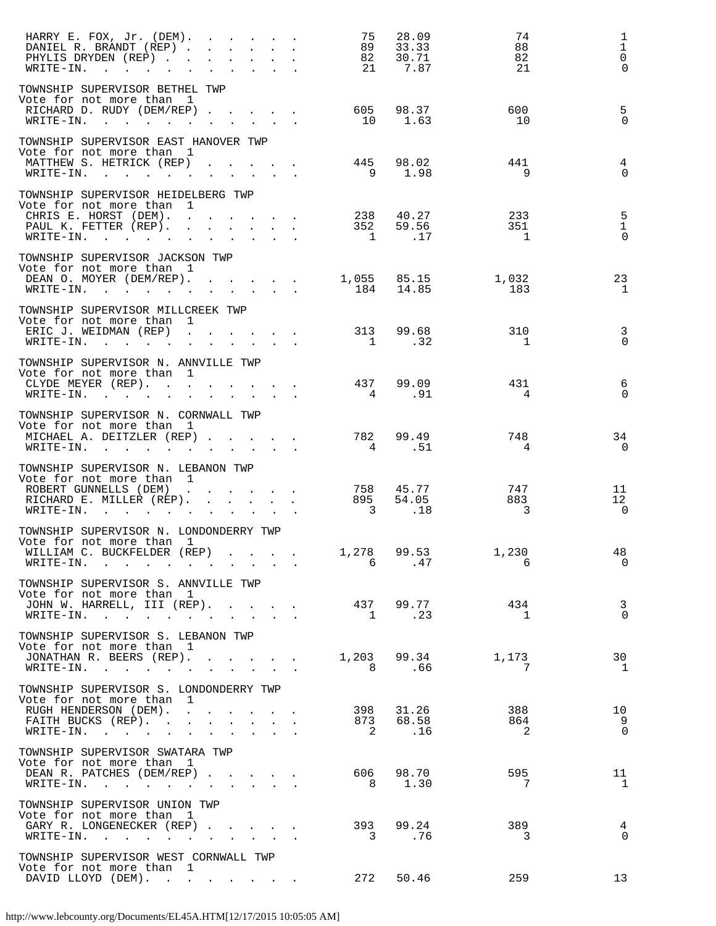| HARRY E. FOX, Jr. (DEM).<br>DANIEL R. BRANDT (REP)<br>PHYLIS DRYDEN (REP).<br>$\texttt{WRTTE-IN.}$                                                                             | and the contract of the state of the<br>the contract of the contract of the<br>$\mathbf{r} = \mathbf{r} + \mathbf{r}$ |                      | 75<br>89<br>82<br>- 21                                                                                                                                                                                                                                                                                                                                                                     | 28.09<br>33.33<br>30.71<br>7.87 | 74<br>88<br>82<br>21       | 1<br>$\mathbf{1}$<br>$\mathsf{O}$<br>$\Omega$ |
|--------------------------------------------------------------------------------------------------------------------------------------------------------------------------------|-----------------------------------------------------------------------------------------------------------------------|----------------------|--------------------------------------------------------------------------------------------------------------------------------------------------------------------------------------------------------------------------------------------------------------------------------------------------------------------------------------------------------------------------------------------|---------------------------------|----------------------------|-----------------------------------------------|
| TOWNSHIP SUPERVISOR BETHEL TWP                                                                                                                                                 |                                                                                                                       |                      |                                                                                                                                                                                                                                                                                                                                                                                            |                                 |                            |                                               |
| Vote for not more than 1<br>RICHARD D. RUDY (DEM/REP).<br>WRITE-IN.<br>the contract of the contract of the contract of the contract of the contract of                         | $\sim$ 100 $\pm$<br>$\sim$ $\sim$                                                                                     |                      | 605<br>10                                                                                                                                                                                                                                                                                                                                                                                  | 98.37<br>1.63                   | 600<br>10                  | 5<br>$\Omega$                                 |
| TOWNSHIP SUPERVISOR EAST HANOVER TWP                                                                                                                                           |                                                                                                                       |                      |                                                                                                                                                                                                                                                                                                                                                                                            |                                 |                            |                                               |
| Vote for not more than 1<br>MATTHEW S. HETRICK (REP)<br>$\texttt{WRTTE-IN.}$                                                                                                   | $\mathbf{L} = \mathbf{L} \mathbf{L} + \mathbf{L} \mathbf{L}$                                                          |                      | 445<br>9                                                                                                                                                                                                                                                                                                                                                                                   | 98.02<br>1.98                   | 441<br>9                   | $\overline{4}$<br>$\Omega$                    |
| TOWNSHIP SUPERVISOR HEIDELBERG TWP                                                                                                                                             |                                                                                                                       |                      |                                                                                                                                                                                                                                                                                                                                                                                            |                                 |                            |                                               |
| Vote for not more than<br>$\mathbf{1}$<br>CHRIS E. HORST (DEM).<br>PAUL K. FETTER (REP).                                                                                       | the company of the company of the                                                                                     |                      | 238<br>352                                                                                                                                                                                                                                                                                                                                                                                 | 40.27<br>59.56                  | 233<br>351                 | $\overline{5}$<br>$\mathbf{1}$<br>$\mathbf 0$ |
| $\texttt{WRITE-IN.}$                                                                                                                                                           | $\mathbf{r} = \mathbf{r}$ , $\mathbf{r} = \mathbf{r}$ , $\mathbf{r} = \mathbf{r}$<br>$\mathbf{L}^{\text{max}}$        |                      | $\overline{1}$                                                                                                                                                                                                                                                                                                                                                                             | .17                             | $\overline{1}$             |                                               |
| TOWNSHIP SUPERVISOR JACKSON TWP<br>Vote for not more than 1<br>DEAN O. MOYER (DEM/REP).<br>WRITE-IN.                                                                           |                                                                                                                       |                      | 184                                                                                                                                                                                                                                                                                                                                                                                        | 1,055 85.15<br>14.85            | 1,032<br>183               | 23<br>1                                       |
| TOWNSHIP SUPERVISOR MILLCREEK TWP                                                                                                                                              |                                                                                                                       |                      |                                                                                                                                                                                                                                                                                                                                                                                            |                                 |                            |                                               |
| Vote for not more than 1<br>ERIC J. WEIDMAN (REP)<br>$\texttt{WRTTE-IN.}$                                                                                                      |                                                                                                                       | $\sim$               | 313                                                                                                                                                                                                                                                                                                                                                                                        | 99.68<br>1 .32                  | 310<br>1                   | $\overline{3}$<br>$\Omega$                    |
| TOWNSHIP SUPERVISOR N. ANNVILLE TWP                                                                                                                                            |                                                                                                                       |                      |                                                                                                                                                                                                                                                                                                                                                                                            |                                 |                            |                                               |
| Vote for not more than 1<br>CLYDE MEYER (REP).<br>WRITE-IN.<br>the contract of the contract of the contract of the contract of the contract of the contract of the contract of |                                                                                                                       |                      | $4\phantom{.0000}\phantom{.0000}\phantom{.0000}\phantom{.0000}\phantom{.0000}\phantom{.0000}\phantom{.0000}\phantom{.0000}\phantom{.0000}\phantom{.0000}\phantom{.0000}\phantom{.0000}\phantom{.0000}\phantom{.0000}\phantom{.0000}\phantom{.0000}\phantom{.0000}\phantom{.0000}\phantom{.0000}\phantom{.0000}\phantom{.0000}\phantom{.0000}\phantom{.0000}\phantom{.0000}\phantom$        | 437 99.09<br>.91                | 431<br>4                   | 6<br>$\Omega$                                 |
| TOWNSHIP SUPERVISOR N. CORNWALL TWP                                                                                                                                            |                                                                                                                       |                      |                                                                                                                                                                                                                                                                                                                                                                                            |                                 |                            |                                               |
| Vote for not more than 1<br>MICHAEL A. DEITZLER (REP)<br>WRITE-IN.<br>and the contract of the contract of                                                                      | $\mathbf{L}$                                                                                                          |                      | 782<br>$4\phantom{.0000}\phantom{.0000}\phantom{.0000}\phantom{.0000}\phantom{.0000}\phantom{.0000}\phantom{.0000}\phantom{.0000}\phantom{.0000}\phantom{.0000}\phantom{.0000}\phantom{.0000}\phantom{.0000}\phantom{.0000}\phantom{.0000}\phantom{.0000}\phantom{.0000}\phantom{.0000}\phantom{.0000}\phantom{.0000}\phantom{.0000}\phantom{.0000}\phantom{.0000}\phantom{.0000}\phantom$ | 99.49<br>.51                    | 748<br>4                   | 34<br>$\overline{0}$                          |
| TOWNSHIP SUPERVISOR N. LEBANON TWP                                                                                                                                             |                                                                                                                       |                      |                                                                                                                                                                                                                                                                                                                                                                                            |                                 |                            |                                               |
| Vote for not more than 1<br>ROBERT GUNNELLS (DEM)                                                                                                                              |                                                                                                                       |                      | 758                                                                                                                                                                                                                                                                                                                                                                                        | 45.77                           | 747                        | 11                                            |
| RICHARD E. MILLER (REP).<br>WRITE-IN.                                                                                                                                          | $\mathcal{L}^{\text{max}}$<br>$\mathbf{L}$<br>$\mathbf{A}$                                                            |                      | 895<br>$\overline{\phantom{a}}$                                                                                                                                                                                                                                                                                                                                                            | 54.05<br>.18                    | 883<br>3                   | 12<br>$\overline{0}$                          |
| TOWNSHIP SUPERVISOR N. LONDONDERRY TWP                                                                                                                                         |                                                                                                                       |                      |                                                                                                                                                                                                                                                                                                                                                                                            |                                 |                            |                                               |
| Vote for not more than 1<br>WILLIAM C. BUCKFELDER (REP)<br>WRITE-IN.                                                                                                           |                                                                                                                       |                      | 1,278                                                                                                                                                                                                                                                                                                                                                                                      | 99.53<br>6 .47                  | 1,230<br>6                 | 48<br>$\Omega$                                |
| TOWNSHIP SUPERVISOR S. ANNVILLE TWP                                                                                                                                            |                                                                                                                       |                      |                                                                                                                                                                                                                                                                                                                                                                                            |                                 |                            |                                               |
| Vote for not more than 1<br>JOHN W. HARRELL, III (REP).<br>WRITE-IN.                                                                                                           | $\mathbf{r} = \mathbf{r}$                                                                                             |                      |                                                                                                                                                                                                                                                                                                                                                                                            | 437 99.77<br>1 .23              | 434<br>$\mathbf{1}$        | $\overline{\mathbf{3}}$<br>$\Omega$           |
| TOWNSHIP SUPERVISOR S. LEBANON TWP                                                                                                                                             |                                                                                                                       |                      |                                                                                                                                                                                                                                                                                                                                                                                            |                                 |                            |                                               |
| Vote for not more than 1<br>JONATHAN R. BEERS (REP). 1,203 99.34<br>WRITE-IN.                                                                                                  |                                                                                                                       | $\ddot{\phantom{a}}$ |                                                                                                                                                                                                                                                                                                                                                                                            | 8.66                            | 1,173<br>7                 | 30<br>1                                       |
| TOWNSHIP SUPERVISOR S. LONDONDERRY TWP                                                                                                                                         |                                                                                                                       |                      |                                                                                                                                                                                                                                                                                                                                                                                            |                                 |                            |                                               |
| Vote for not more than 1                                                                                                                                                       |                                                                                                                       |                      |                                                                                                                                                                                                                                                                                                                                                                                            |                                 |                            |                                               |
| RUGH HENDERSON (DEM).<br>FAITH BUCKS (REP).                                                                                                                                    | and the contract of the contract of<br>$\mathbf{L} = \mathbf{L}$<br>$\mathbf{L}$                                      | $\sim$               |                                                                                                                                                                                                                                                                                                                                                                                            | 398 31.26<br>873 68.58          | 388<br>864                 | 10<br>9                                       |
| WRITE-IN.<br>and the contract of the contract of                                                                                                                               | $\mathbf{r} = \mathbf{r} + \mathbf{r} + \mathbf{r} + \mathbf{r} + \mathbf{r}$                                         |                      |                                                                                                                                                                                                                                                                                                                                                                                            | 2 .16                           | $\overline{\phantom{0}}^2$ | $\Omega$                                      |
| TOWNSHIP SUPERVISOR SWATARA TWP                                                                                                                                                |                                                                                                                       |                      |                                                                                                                                                                                                                                                                                                                                                                                            |                                 |                            |                                               |
| Vote for not more than 1<br>DEAN R. PATCHES (DEM/REP)<br>$\texttt{WRTTE-IN.}$                                                                                                  | $\mathcal{L}^{\text{max}}$<br>$\mathbf{L}$<br>$\sim$                                                                  |                      |                                                                                                                                                                                                                                                                                                                                                                                            | 606 98.70<br>8 1.30             | 595<br>7                   | 11<br>$\mathbf{1}$                            |
| TOWNSHIP SUPERVISOR UNION TWP                                                                                                                                                  |                                                                                                                       |                      |                                                                                                                                                                                                                                                                                                                                                                                            |                                 |                            |                                               |
| Vote for not more than 1<br>GARY R. LONGENECKER (REP)<br>WRITE-IN.                                                                                                             |                                                                                                                       |                      |                                                                                                                                                                                                                                                                                                                                                                                            | 393 99.24<br>3. 76              | 389<br>3                   | 4<br>$\Omega$                                 |
| TOWNSHIP SUPERVISOR WEST CORNWALL TWP                                                                                                                                          |                                                                                                                       |                      |                                                                                                                                                                                                                                                                                                                                                                                            |                                 |                            |                                               |
| Vote for not more than 1<br>DAVID LLOYD (DEM).<br>and the state of the state of the                                                                                            |                                                                                                                       |                      | 272                                                                                                                                                                                                                                                                                                                                                                                        | 50.46                           | 259                        | 13                                            |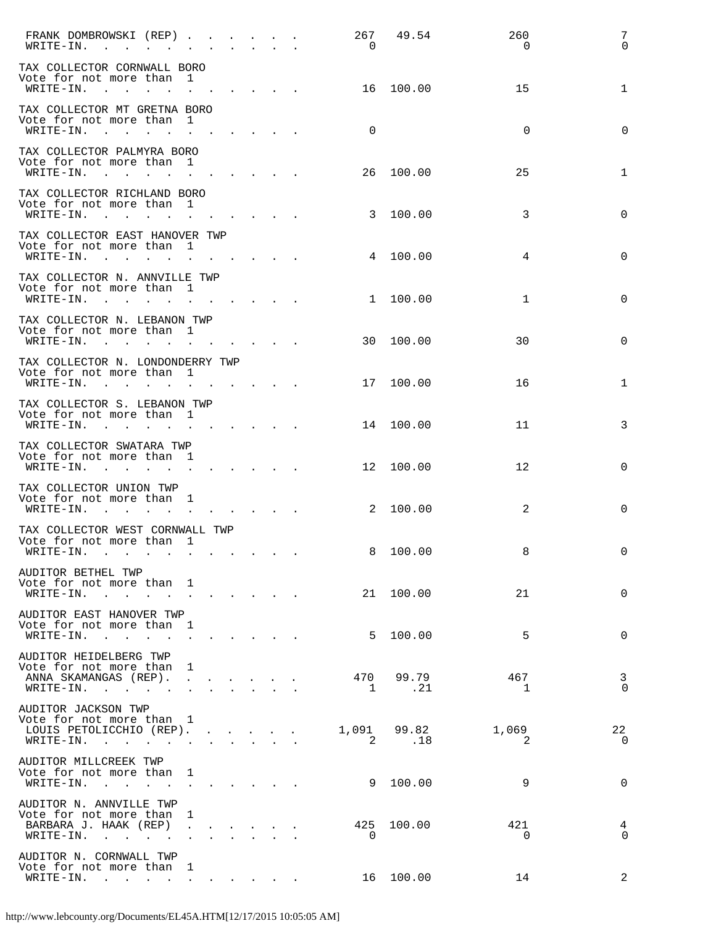| FRANK DOMBROWSKI (REP)<br>WRITE-IN.<br><b>Contract</b>                                                                                                                                                                                                                                                  |                               |                                                       | $\mathbf{r}$ , $\mathbf{r}$ , $\mathbf{r}$ , $\mathbf{r}$ , $\mathbf{r}$ , $\mathbf{r}$<br>$\bullet$ .<br><br><br><br><br><br><br><br><br><br><br><br> |               | $\mathbf{r} = \mathbf{r}$ , and $\mathbf{r} = \mathbf{r}$ | 267<br>$\Omega$       | 49.54              | 260<br>0    | 7<br>$\Omega$              |
|---------------------------------------------------------------------------------------------------------------------------------------------------------------------------------------------------------------------------------------------------------------------------------------------------------|-------------------------------|-------------------------------------------------------|--------------------------------------------------------------------------------------------------------------------------------------------------------|---------------|-----------------------------------------------------------|-----------------------|--------------------|-------------|----------------------------|
| TAX COLLECTOR CORNWALL BORO<br>Vote for not more than<br>WRITE-IN.<br>$\sim$<br>$\sim$                                                                                                                                                                                                                  |                               |                                                       |                                                                                                                                                        |               | $\mathbf{r} = \mathbf{r}$ , and $\mathbf{r} = \mathbf{r}$ | 16                    | 100.00             | 15          | 1                          |
| TAX COLLECTOR MT GRETNA BORO<br>Vote for not more than<br>WRITE-IN.<br><b>Contract Contract Contract Contract</b>                                                                                                                                                                                       |                               | $\mathbf{1}$                                          | $\mathbf{r} = \mathbf{r} \cdot \mathbf{r} = \mathbf{r} \cdot \mathbf{r} = \mathbf{r} \cdot \mathbf{r}$                                                 |               |                                                           | 0                     |                    | $\mathbf 0$ | $\mathbf 0$                |
| TAX COLLECTOR PALMYRA BORO<br>Vote for not more than<br>WRITE-IN.<br><b>Carlo Carlo Carlos</b>                                                                                                                                                                                                          |                               | 1                                                     | and a strong control of the state of                                                                                                                   |               |                                                           | 26                    | 100.00             | 25          | 1                          |
| TAX COLLECTOR RICHLAND BORO<br>Vote for not more than<br>WRITE-IN.<br>$\mathbf{r}$ , $\mathbf{r}$ , $\mathbf{r}$ , $\mathbf{r}$ , $\mathbf{r}$                                                                                                                                                          |                               | 1                                                     | $\begin{array}{cccccccccccccc} \bullet & \bullet & \bullet & \bullet & \bullet & \bullet & \bullet & \bullet & \bullet & \bullet \end{array}$          |               |                                                           |                       | 3 100.00           | 3           | $\mathbf 0$                |
| TAX COLLECTOR EAST HANOVER TWP<br>Vote for not more than<br>WRITE-IN.<br>$\sim$ $\sim$                                                                                                                                                                                                                  | $\mathbf{L}$ and $\mathbf{L}$ | 1                                                     | $\begin{array}{cccccccccccccc} \bullet & \bullet & \bullet & \bullet & \bullet & \bullet & \bullet & \bullet & \bullet & \bullet \end{array}$          |               |                                                           |                       | 4 100.00           | 4           | $\mathbf 0$                |
| TAX COLLECTOR N. ANNVILLE TWP<br>Vote for not more than<br>WRITE-IN.<br>$\sim$ $\sim$<br>$\mathbf{L} = \mathbf{L}$                                                                                                                                                                                      |                               | 1<br>the contract of the contract of the              |                                                                                                                                                        |               |                                                           | 1                     | 100.00             | $\mathbf 1$ | $\mathbf 0$                |
| TAX COLLECTOR N. LEBANON TWP<br>Vote for not more than<br>WRITE-IN.<br><b>Contract</b><br>$\mathbf{L}$                                                                                                                                                                                                  |                               | $\mathbf{1}$<br>$\mathbf{L} = \mathbf{L}$             |                                                                                                                                                        |               | and the state of the state of the                         |                       | 30 100.00          | 30          | $\mathbf 0$                |
| TAX COLLECTOR N. LONDONDERRY TWP<br>Vote for not more than<br>WRITE-IN.<br>$\mathbf{r}$ , $\mathbf{r}$ , $\mathbf{r}$                                                                                                                                                                                   |                               | 1                                                     | $\mathbf{r} = \mathbf{r} + \mathbf{r} + \mathbf{r} + \mathbf{r} + \mathbf{r}$                                                                          |               |                                                           | 17                    | 100.00             | 16          | 1                          |
| TAX COLLECTOR S. LEBANON TWP<br>Vote for not more than<br>WRITE-IN.<br>$\sim$ $\sim$ $\sim$ $\sim$ $\sim$                                                                                                                                                                                               |                               | $\blacksquare$<br>the contract of the contract of the |                                                                                                                                                        |               |                                                           | 14                    | 100.00             | 11          | 3                          |
| TAX COLLECTOR SWATARA TWP<br>Vote for not more than 1<br>WRITE-IN.<br>$\mathbf{r}$ . The set of the set of the set of the set of the set of the set of the set of the set of the set of the set of the set of the set of the set of the set of the set of the set of the set of the set of the set of t |                               | $\sim 100$                                            | $\mathbf{r} = \mathbf{r} \times \mathbf{r}$ , where $\mathbf{r} = \mathbf{r} \times \mathbf{r}$                                                        |               |                                                           | 12                    | 100.00             | 12          | $\mathbf 0$                |
| TAX COLLECTOR UNION TWP<br>Vote for not more than<br>WRITE-IN.                                                                                                                                                                                                                                          |                               | 1                                                     |                                                                                                                                                        |               |                                                           | 2                     | 100.00             | 2           | $\mathbf 0$                |
| $\mathbf{r}$ , $\mathbf{r}$ , $\mathbf{r}$ , $\mathbf{r}$<br>TAX COLLECTOR WEST CORNWALL TWP<br>Vote for not more than 1                                                                                                                                                                                |                               |                                                       |                                                                                                                                                        |               | and the state of the state of the                         |                       |                    |             |                            |
| WRITE-IN.<br>the contract of the contract of the contract of the contract of the contract of the contract of the contract of<br>AUDITOR BETHEL TWP<br>Vote for not more than 1                                                                                                                          |                               |                                                       |                                                                                                                                                        |               |                                                           | 8                     | 100.00             | 8           | 0                          |
| WRITE-IN.<br>and the contract of the contract of the contract of the contract of the contract of<br>AUDITOR EAST HANOVER TWP<br>Vote for not more than                                                                                                                                                  |                               | - 1                                                   |                                                                                                                                                        |               |                                                           |                       | 21 100.00          | 21          | $\Omega$                   |
| WRITE-IN.<br>$\sim$ $\sim$ $\sim$ $\sim$ $\sim$<br>AUDITOR HEIDELBERG TWP<br>Vote for not more than                                                                                                                                                                                                     |                               | 1                                                     |                                                                                                                                                        |               |                                                           |                       | 5 100.00           | 5           | $\Omega$                   |
| ANNA SKAMANGAS (REP).<br>WRITE-IN.                                                                                                                                                                                                                                                                      |                               | $\ddot{\phantom{a}}$                                  |                                                                                                                                                        |               |                                                           | 470<br>$\overline{1}$ | 99.79<br>$\ldots$  | 467<br>-1   | $\overline{3}$<br>$\Omega$ |
| AUDITOR JACKSON TWP<br>Vote for not more than<br>LOUIS PETOLICCHIO (REP).<br>WRITE-IN. .<br>$\sim$ 100 $\pm$                                                                                                                                                                                            |                               | $\mathbf{1}$<br><b>Contract Contract Contract</b>     | $\mathbf{r} = \mathbf{r} + \mathbf{r} + \mathbf{r}$<br>$\sim$                                                                                          | $\sim$ $\sim$ |                                                           | $\overline{2}$        | 1,091 99.82<br>.18 | 1,069<br>2  | 22<br>$\Omega$             |
| AUDITOR MILLCREEK TWP<br>Vote for not more than<br>WRITE-IN.<br>$\ddot{\phantom{a}}$                                                                                                                                                                                                                    |                               | 1<br>$\sim 10^{-10}$                                  | $\begin{array}{cccccccccccccc} \bullet & \bullet & \bullet & \bullet & \bullet & \bullet & \bullet & \bullet \end{array}$                              |               |                                                           |                       | 9 100.00           | 9           | $\Omega$                   |
| AUDITOR N. ANNVILLE TWP<br>Vote for not more than<br>BARBARA J. HAAK (REP)                                                                                                                                                                                                                              |                               | 1                                                     |                                                                                                                                                        |               |                                                           | 425                   | 100.00             | 421         | 4                          |
| WRITE-IN. .<br>$\sim$<br>AUDITOR N. CORNWALL TWP<br>Vote for not more than                                                                                                                                                                                                                              |                               | 1                                                     |                                                                                                                                                        |               |                                                           | $\overline{0}$        |                    | $\Omega$    | $\Omega$                   |
| WRITE-IN.<br>$\sim$ $\sim$                                                                                                                                                                                                                                                                              |                               |                                                       |                                                                                                                                                        |               |                                                           | 16                    | 100.00             | 14          | 2                          |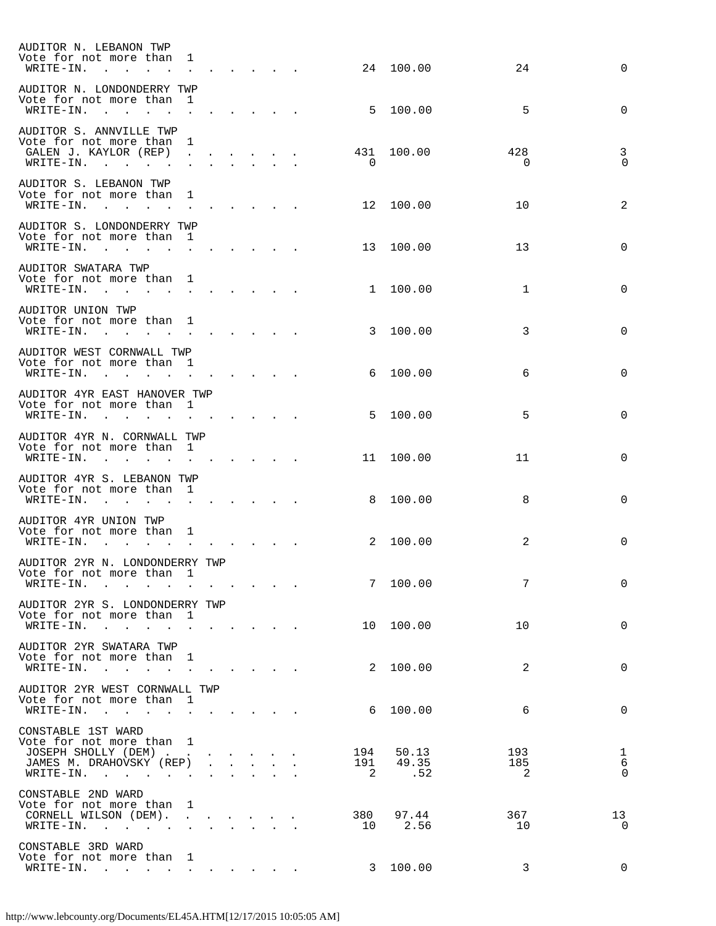| AUDITOR N. LEBANON TWP<br>Vote for not more than<br>$WRITE - IN$ .<br>$\sim$                                                                                    | 1                               |                                 |              |                                                           |                                           |                              | 24 100.00             | 24              | $\Omega$                               |
|-----------------------------------------------------------------------------------------------------------------------------------------------------------------|---------------------------------|---------------------------------|--------------|-----------------------------------------------------------|-------------------------------------------|------------------------------|-----------------------|-----------------|----------------------------------------|
| AUDITOR N. LONDONDERRY TWP<br>Vote for not more than<br>WRITE-IN.<br>$\sim$ $\sim$ $\sim$ $\sim$                                                                | 1                               |                                 |              |                                                           |                                           | - 5                          | 100.00                | 5               | $\Omega$                               |
| AUDITOR S. ANNVILLE TWP<br>Vote for not more than<br>GALEN J. KAYLOR (REP)<br>$\texttt{WRTTE-IN.}$                                                              | 1<br>$\sim$                     |                                 |              |                                                           |                                           | 431<br>$\Omega$              | 100.00                | 428<br>$\Omega$ | 3<br>$\Omega$                          |
| AUDITOR S. LEBANON TWP<br>Vote for not more than<br>WRITE-IN.<br>$\mathbf{r}$ , $\mathbf{r}$ , $\mathbf{r}$ , $\mathbf{r}$                                      | $\mathbf{1}$<br>$\sim$ $\sim$   |                                 |              |                                                           |                                           |                              | 12 100.00             | 10              | 2                                      |
| AUDITOR S. LONDONDERRY TWP<br>Vote for not more than<br>WRITE-IN.<br>the contract of the contract of the contract of                                            | 1                               |                                 |              |                                                           |                                           |                              | 13 100.00             | 13              | $\Omega$                               |
| AUDITOR SWATARA TWP<br>Vote for not more than 1<br>WRITE-IN.<br>$\mathbf{r}$ , $\mathbf{r}$ , $\mathbf{r}$ , $\mathbf{r}$ , $\mathbf{r}$ , $\mathbf{r}$         |                                 |                                 |              |                                                           |                                           |                              | 1 100.00              | $\mathbf{1}$    | $\Omega$                               |
| AUDITOR UNION TWP<br>Vote for not more than 1<br>WRITE-IN.<br>the contract of the contract of the contract of the contract of the contract of                   |                                 |                                 |              |                                                           |                                           |                              | 3 100.00              | 3               | $\Omega$                               |
| AUDITOR WEST CORNWALL TWP<br>Vote for not more than 1<br>WRITE-IN.<br>$\mathcal{L}(\mathbf{r})$ , and $\mathcal{L}(\mathbf{r})$ , and $\mathcal{L}(\mathbf{r})$ |                                 |                                 |              |                                                           |                                           | 6                            | 100.00                | 6               | $\Omega$                               |
| AUDITOR 4YR EAST HANOVER TWP<br>Vote for not more than<br>WRITE-IN.<br>the contract of the contract of the contract of the contract of the contract of          | $\overline{1}$                  |                                 |              |                                                           |                                           | 5                            | 100.00                | 5               | $\Omega$                               |
| AUDITOR 4YR N. CORNWALL TWP<br>Vote for not more than<br>WRITE-IN.<br>$\mathbf{r}$ , $\mathbf{r}$ , $\mathbf{r}$ , $\mathbf{r}$                                 | $\mathbf{1}$<br>$\sim$ $\sim$   |                                 |              |                                                           |                                           | 11                           | 100.00                | 11              | $\Omega$                               |
| AUDITOR 4YR S. LEBANON TWP<br>Vote for not more than<br>WRITE-IN.<br>the contract of the contract of the contract of                                            | $\mathbf{1}$                    |                                 |              |                                                           |                                           | 8                            | 100.00                | 8               | $\Omega$                               |
| AUDITOR 4YR UNION TWP<br>Vote for not more than<br>WRITE-IN.<br>$\sim$                                                                                          | $\mathbf{1}$                    |                                 |              |                                                           |                                           | 2                            | 100.00                | 2               | $\Omega$                               |
| AUDITOR 2YR N. LONDONDERRY TWP<br>Vote for not more than<br>WRITE-IN.                                                                                           | 1                               |                                 |              |                                                           |                                           |                              | 7 100.00              | 7               | $\Omega$                               |
| AUDITOR 2YR S. LONDONDERRY TWP<br>Vote for not more than<br>WRITE-IN.<br>$\sim$<br>$\mathbf{r}$                                                                 | 1<br>$\mathbf{r}$               |                                 |              |                                                           |                                           |                              | 10 100.00             | 10              | $\mathbf 0$                            |
| AUDITOR 2YR SWATARA TWP<br>Vote for not more than<br>WRITE-IN.<br>$\sim$<br>$\mathbf{r}$<br>$\ddot{\phantom{a}}$                                                | 1<br>$\sim$                     |                                 |              |                                                           |                                           |                              | 2 100.00              | 2               | $\mathbf 0$                            |
| AUDITOR 2YR WEST CORNWALL TWP<br>Vote for not more than<br>WRITE-IN.<br>$\sim$<br>$\mathbf{r}$<br>$\sim$                                                        | - 1                             | <b>Carl Carl Carl Committee</b> |              |                                                           |                                           | 6                            | 100.00                | 6               | $\mathbf 0$                            |
| CONSTABLE 1ST WARD<br>Vote for not more than 1<br>JOSEPH SHOLLY (DEM)<br>JAMES M. DRAHOVSKY (REP)<br>WRITE-IN.<br>$\ddot{\phantom{a}}$                          |                                 | $\mathbf{L}$                    | $\mathbf{r}$ | $\mathcal{L}(\mathbf{z})$ and $\mathcal{L}(\mathbf{z})$ . |                                           | 194<br>191<br>$\overline{2}$ | 50.13<br>49.35<br>.52 | 193<br>185<br>2 | $\mathbf{1}$<br>$\sqrt{6}$<br>$\Omega$ |
| CONSTABLE 2ND WARD<br>Vote for not more than<br>CORNELL WILSON (DEM).                                                                                           | 1<br>$\mathcal{L}^{\text{max}}$ |                                 |              |                                                           |                                           | 380                          | 97.44                 | 367             | 13                                     |
| WRITE-IN.<br>$\ddot{\phantom{a}}$<br>CONSTABLE 3RD WARD                                                                                                         | $\mathbf{L}$                    | $\mathbf{L}$                    |              |                                                           | and a strong control of the strong strong | 10                           | 2.56                  | 10              | $\Omega$                               |
| Vote for not more than<br>WRITE-IN.<br>the contract of the contract of the                                                                                      | $\perp$<br>$\ddot{\phantom{0}}$ |                                 |              |                                                           |                                           | $\mathbf{3}$                 | 100.00                | 3               | $\Omega$                               |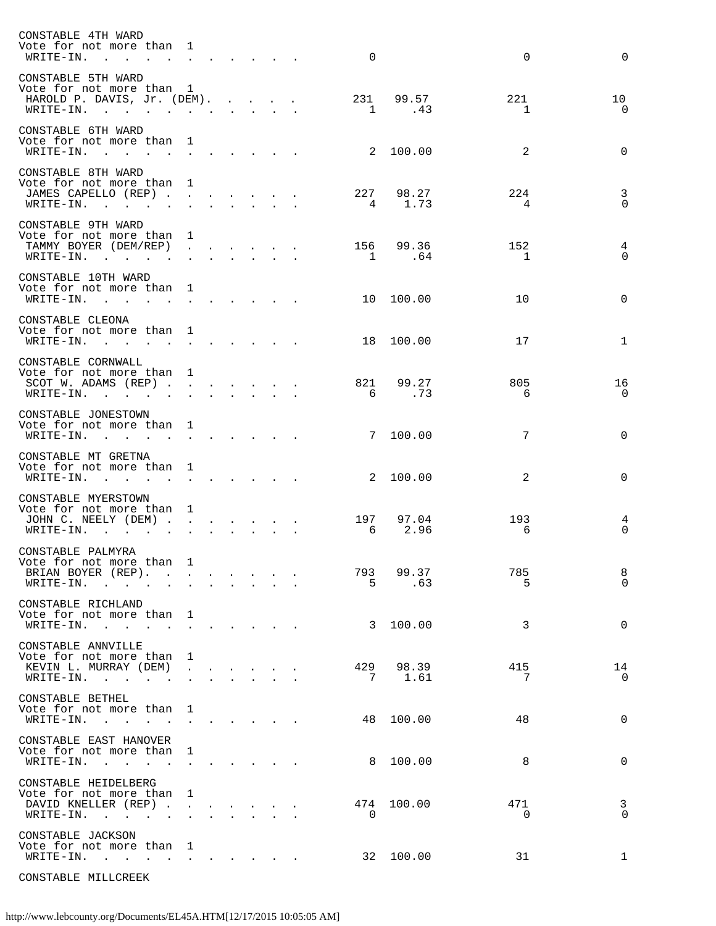| CONSTABLE 4TH WARD<br>Vote for not more than<br>WRITE-IN.<br><b>Contract Contract</b>                                      | $\mathbf{1}$<br>$\mathcal{L}^{\mathcal{A}}$                                                        |                      |                                                                                                                                                                                                                                    |                |                                                                             | $\mathbf 0$    |                     | $\mathbf 0$           | $\Omega$                            |
|----------------------------------------------------------------------------------------------------------------------------|----------------------------------------------------------------------------------------------------|----------------------|------------------------------------------------------------------------------------------------------------------------------------------------------------------------------------------------------------------------------------|----------------|-----------------------------------------------------------------------------|----------------|---------------------|-----------------------|-------------------------------------|
| CONSTABLE 5TH WARD<br>Vote for not more than<br>HAROLD P. DAVIS, Jr. (DEM).<br>$\texttt{WRTTE-IN.}$                        | $\mathbf{1}$                                                                                       |                      |                                                                                                                                                                                                                                    | <b>Service</b> | $\mathbf{r}$ and $\mathbf{r}$ and $\mathbf{r}$<br>$\mathbf{L} = \mathbf{L}$ | 231            | 99.57<br>1 .43      | 221<br>1              | 10<br>$\Omega$                      |
| CONSTABLE 6TH WARD<br>Vote for not more than<br>WRITE-IN.                                                                  | $\mathbf{1}$                                                                                       |                      |                                                                                                                                                                                                                                    |                |                                                                             |                | 2 100.00            | $\overline{a}$        | $\Omega$                            |
| CONSTABLE 8TH WARD<br>Vote for not more than<br>JAMES CAPELLO (REP)<br>$\texttt{WRTTE-IN.}$                                | 1                                                                                                  |                      |                                                                                                                                                                                                                                    |                |                                                                             |                | 227 98.27<br>4 1.73 | 224<br>4              | $\overline{\mathbf{3}}$<br>$\Omega$ |
| CONSTABLE 9TH WARD<br>Vote for not more than<br>TAMMY BOYER (DEM/REP)<br>WRITE-IN.<br><b>Contractor</b>                    | $\mathbf{1}$<br>$\mathbf{L}$                                                                       |                      | $\mathbf{r} = \mathbf{r} \cdot \mathbf{r}$ and $\mathbf{r} = \mathbf{r} \cdot \mathbf{r}$                                                                                                                                          |                |                                                                             |                | 156 99.36<br>1 .64  | 152<br>1              | 4<br>$\Omega$                       |
| CONSTABLE 10TH WARD<br>Vote for not more than<br>$\texttt{WRTTE-IN.}$                                                      | $\mathbf{1}$                                                                                       |                      |                                                                                                                                                                                                                                    |                |                                                                             | 10             | 100.00              | 10                    | $\Omega$                            |
| CONSTABLE CLEONA<br>Vote for not more than 1<br>$\texttt{WRTTE-IN.}$                                                       |                                                                                                    |                      | $\cdot$ $\cdot$ $\cdot$                                                                                                                                                                                                            |                |                                                                             |                | 18 100.00           | 17                    | 1                                   |
| CONSTABLE CORNWALL<br>Vote for not more than<br>SCOT W. ADAMS (REP)<br>WRITE-IN.<br>$\mathbf{r}$ . The set of $\mathbf{r}$ | $\mathbf{1}$<br>$\mathbf{L}^{\text{max}}$                                                          | $\sim$               |                                                                                                                                                                                                                                    |                |                                                                             |                | 821 99.27<br>6.73   | 805<br>6              | 16<br>0                             |
| CONSTABLE JONESTOWN<br>Vote for not more than<br>WRITE-IN.<br>$\sim$ $\sim$                                                | $\mathbf{1}$<br>$\sim$ $\sim$                                                                      |                      |                                                                                                                                                                                                                                    |                |                                                                             | 7              | 100.00              | 7                     | $\Omega$                            |
| CONSTABLE MT GRETNA<br>Vote for not more than<br>WRITE-IN.<br>$\sim$                                                       | $\mathbf{1}$<br>$\mathbf{L}$                                                                       |                      |                                                                                                                                                                                                                                    |                |                                                                             | 2              | 100.00              | 2                     | $\Omega$                            |
| CONSTABLE MYERSTOWN<br>Vote for not more than 1<br>JOHN C. NEELY (DEM)<br>WRITE-IN.                                        |                                                                                                    |                      |                                                                                                                                                                                                                                    |                |                                                                             | 197<br>6       | 97.04<br>2.96       | 193<br>6              | 4<br>$\Omega$                       |
| CONSTABLE PALMYRA<br>Vote for not more than 1<br>BRIAN BOYER (REP).<br>WRITE-IN.                                           | $\mathbf{r}$ , $\mathbf{r}$ , $\mathbf{r}$ , $\mathbf{r}$<br>$\sim$ $\sim$ $\sim$<br>$\sim$ $\sim$ |                      | $\cdot$ $\cdot$ $\cdot$ $\cdot$ $\cdot$ $\cdot$<br>$\mathbf{r}$ , $\mathbf{r}$ , $\mathbf{r}$ , $\mathbf{r}$                                                                                                                       |                |                                                                             |                | 793 99.37<br>5.63   | 785<br>- 5            | 8<br>$\Omega$                       |
| CONSTABLE RICHLAND<br>Vote for not more than 1<br>WRITE-IN.                                                                |                                                                                                    |                      |                                                                                                                                                                                                                                    |                |                                                                             |                | 3 100.00            | 3                     | $\mathbf 0$                         |
| CONSTABLE ANNVILLE<br>Vote for not more than 1<br>KEVIN L. MURRAY (DEM) .<br>$\texttt{WRITE-IN.}$                          |                                                                                                    |                      | $\begin{array}{cccccccccccccc} \bullet & \bullet & \bullet & \bullet & \bullet & \bullet & \bullet & \bullet & \bullet & \bullet \end{array}$<br>$\mathbf{r} = \mathbf{r}$ , $\mathbf{r} = \mathbf{r}$ , $\mathbf{r} = \mathbf{r}$ |                |                                                                             |                | 429 98.39<br>7 1.61 | 415<br>7              | 14<br>$\Omega$                      |
| CONSTABLE BETHEL<br>Vote for not more than 1<br>WRITE-IN.                                                                  |                                                                                                    | $\mathbf{L}$         | $\sim$ $\sim$ $\sim$ $\sim$ $\sim$                                                                                                                                                                                                 |                |                                                                             |                | 48 100.00           | 48                    | $\overline{0}$                      |
| CONSTABLE EAST HANOVER<br>Vote for not more than<br>WRITE-IN.                                                              | $\mathbf{1}$                                                                                       | $\ddot{\phantom{a}}$ |                                                                                                                                                                                                                                    |                |                                                                             |                | 8 100.00            | 8                     | $\overline{0}$                      |
| CONSTABLE HEIDELBERG<br>Vote for not more than 1<br>DAVID KNELLER (REP)<br>WRITE-IN.                                       |                                                                                                    |                      | $\mathbf{r} = \mathbf{r} + \mathbf{r} + \mathbf{r} + \mathbf{r} + \mathbf{r}$                                                                                                                                                      |                |                                                                             | $\overline{0}$ | 474 100.00          | 471<br>$\overline{0}$ | 3<br>$\Omega$                       |
| CONSTABLE JACKSON<br>Vote for not more than 1<br>WRITE-IN.                                                                 |                                                                                                    |                      |                                                                                                                                                                                                                                    |                |                                                                             |                | 32 100.00           | 31                    | 1                                   |

CONSTABLE MILLCREEK